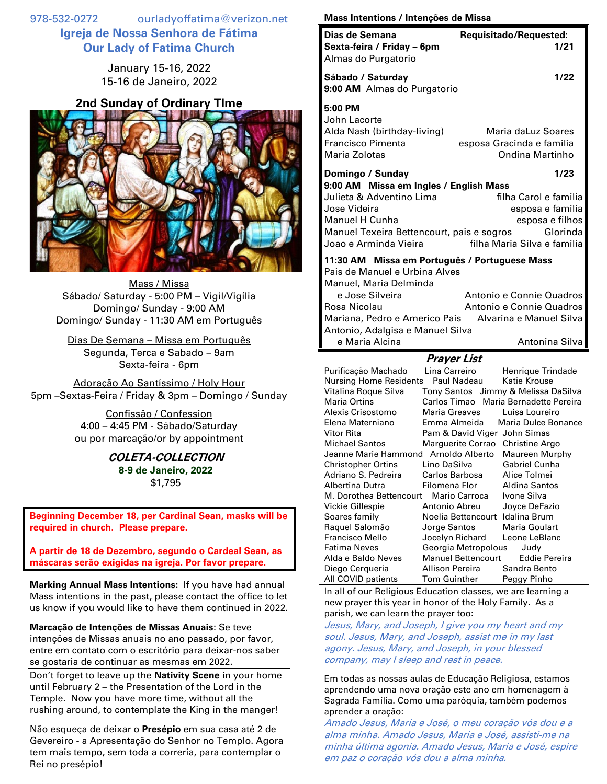978-532-0272 ourladyoffatima@verizon.net **Igreja de Nossa Senhora de Fátima Our Lady of Fatima Church**

> January 15-16, 2022 15-16 de Janeiro, 2022

## **2nd Sunday of Ordinary TIme**



Mass / Missa Sábado/ Saturday - 5:00 PM – Vigil/Vigília Domingo/ Sunday - 9:00 AM Domingo/ Sunday - 11:30 AM em Português

Dias De Semana – Missa em Português Segunda, Terca e Sabado – 9am Sexta-feira - 6pm

Adoração Ao Santíssimo / Holy Hour 5pm –Sextas-Feira / Friday & 3pm – Domingo / Sunday

> Confissão / Confession 4:00 – 4:45 PM - Sábado/Saturday ou por marcação/or by appointment

## **COLETA-COLLECTION 8-9 de Janeiro, 2022** \$1,795

**Beginning December 18, per Cardinal Sean, masks will be required in church. Please prepare.**

**A partir de 18 de Dezembro, segundo o Cardeal Sean, as máscaras serão exigidas na igreja. Por favor prepare.**

**Marking Annual Mass Intentions:** If you have had annual Mass intentions in the past, please contact the office to let us know if you would like to have them continued in 2022.

**Marcação de Intenções de Missas Anuais**: Se teve intenções de Missas anuais no ano passado, por favor, entre em contato com o escritório para deixar-nos saber se gostaria de continuar as mesmas em 2022.

Don't forget to leave up the **Nativity Scene** in your home until February 2 – the Presentation of the Lord in the Temple. Now you have more time, without all the rushing around, to contemplate the King in the manger!

Não esqueça de deixar o **Presépio** em sua casa até 2 de Gevereiro - a Apresentação do Senhor no Templo. Agora tem mais tempo, sem toda a correria, para contemplar o Rei no presépio!

## **Mass Intentions / Intenções de Missa**

|                                                                                                                                                                                                                  |                                                      | ac missa |                                                                                                                                                                                                                                             |  |
|------------------------------------------------------------------------------------------------------------------------------------------------------------------------------------------------------------------|------------------------------------------------------|----------|---------------------------------------------------------------------------------------------------------------------------------------------------------------------------------------------------------------------------------------------|--|
| Dias de Semana<br>Sexta-feira / Friday - 6pm<br>Almas do Purgatorio                                                                                                                                              |                                                      |          | Requisitado/Requested:<br>1/21                                                                                                                                                                                                              |  |
| Sábado / Saturday<br>9:00 AM Almas do Purgatorio                                                                                                                                                                 |                                                      |          | 1/22                                                                                                                                                                                                                                        |  |
| 5:00 PM<br>John Lacorte<br>Alda Nash (birthday-living)<br><b>Francisco Pimenta</b><br>Maria Zolotas                                                                                                              |                                                      |          | Maria daLuz Soares<br>esposa Gracinda e familia<br><b>Ondina Martinho</b>                                                                                                                                                                   |  |
| Domingo / Sunday<br>9:00 AM Missa em Ingles / English Mass<br>Julieta & Adventino Lima<br>Jose Videira<br><b>Manuel H Cunha</b><br>Manuel Texeira Bettencourt, pais e sogros<br>Joao e Arminda Vieira            |                                                      |          | 1/23<br>filha Carol e familia<br>esposa e familia<br>esposa e filhos<br>Glorinda<br>filha Maria Silva e familia                                                                                                                             |  |
| 11:30 AM Missa em Português / Portuguese Mass<br>Pais de Manuel e Urbina Alves<br>Manuel, Maria Delminda<br>e Jose Silveira<br>Rosa Nicolau<br>Mariana, Pedro e Americo Pais<br>Antonio, Adalgisa e Manuel Silva |                                                      |          | Antonio e Connie Quadros<br>Antonio e Connie Quadros<br>Alvarina e Manuel Silva                                                                                                                                                             |  |
| e Maria Alcina                                                                                                                                                                                                   |                                                      |          | Antonina Silva                                                                                                                                                                                                                              |  |
| <b>Prayer List</b>                                                                                                                                                                                               |                                                      |          |                                                                                                                                                                                                                                             |  |
| Purificação Machado<br>Nursing Home Residents<br>Vitalina Roque Silva<br><b>Maria Ortins</b><br>Alexis Crisostomo<br>Elena Materniano<br>Vitor Rita<br><b>Michael Santos</b>                                     | Lina Carreiro<br>Paul Nadeau<br><b>Maria Greaves</b> |          | Henrique Trindade<br>Katie Krouse<br>Tony Santos Jimmy & Melissa DaSilva<br>Carlos Timao Maria Bernadette Pereira<br>Luisa Loureiro<br>Emma Almeida Maria Dulce Bonance<br>Pam & David Viger John Simas<br>Marguerite Corrao Christine Argo |  |
| Jeanne Marie Hammond Arnoldo Alberto<br><b>Christopher Ortins</b><br>Adriano S. Pedreira<br>Albertina Dutra                                                                                                      | Lino DaSilva<br>Carlos Barbosa<br>Filomena Flor      |          | Maureen Murphy<br><b>Gabriel Cunha</b><br>Alice Tolmei<br><b>Aldina Santos</b>                                                                                                                                                              |  |

Alda e Baldo Neves Manuel Bettencourt Eddie Pereira Diego Cerqueria Allison Pereira Sandra Bento All COVID patients Tom Guinther Peggy Pinho In all of our Religious Education classes, we are learning a new prayer this year in honor of the Holy Family. As a parish, we can learn the prayer too:

M. Dorothea Bettencourt Mario Carroca Ivone Silva Vickie Gillespie Antonio Abreu Joyce DeFazio Soares family Noelia Bettencourt Idalina Brum Raquel Salomão Jorge Santos Maria Goulart Francisco Mello Jocelyn Richard Leone LeBlanc Fatima Neves Georgia Metropolous Judy

Jesus, Mary, and Joseph, I give you my heart and my soul. Jesus, Mary, and Joseph, assist me in my last agony. Jesus, Mary, and Joseph, in your blessed company, may I sleep and rest in peace.

Em todas as nossas aulas de Educação Religiosa, estamos aprendendo uma nova oração este ano em homenagem à Sagrada Família. Como uma paróquia, também podemos aprender a oração:

Amado Jesus, Maria e José, o meu coração vós dou e a alma minha. Amado Jesus, Maria e José, assisti-me na minha última agonia. Amado Jesus, Maria e José, espire em paz o coração vós dou a alma minha.